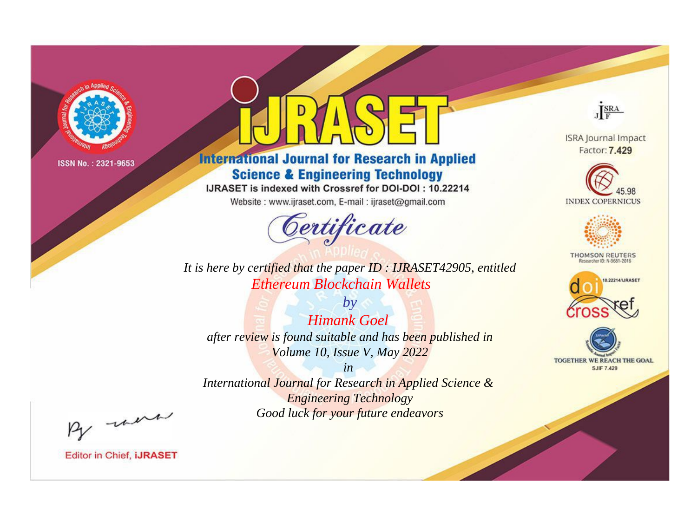

# **International Journal for Research in Applied Science & Engineering Technology**

IJRASET is indexed with Crossref for DOI-DOI: 10.22214

Website: www.ijraset.com, E-mail: ijraset@gmail.com



**ISRA Journal Impact** Factor: 7.429

JERA





**THOMSON REUTERS** 



TOGETHER WE REACH THE GOAL **SJIF 7.429** 

*It is here by certified that the paper ID : IJRASET42905, entitled Ethereum Blockchain Wallets*

*by Himank Goel after review is found suitable and has been published in Volume 10, Issue V, May 2022*

*in* 

*International Journal for Research in Applied Science & Engineering Technology Good luck for your future endeavors*

By morn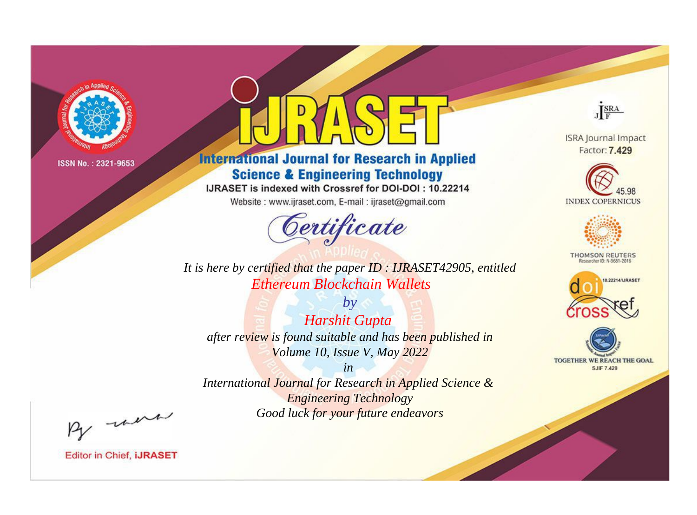

# **International Journal for Research in Applied Science & Engineering Technology**

IJRASET is indexed with Crossref for DOI-DOI: 10.22214

Website: www.ijraset.com, E-mail: ijraset@gmail.com



**ISRA Journal Impact** Factor: 7.429

JERA





**THOMSON REUTERS** 



TOGETHER WE REACH THE GOAL **SJIF 7.429** 

*It is here by certified that the paper ID : IJRASET42905, entitled Ethereum Blockchain Wallets*

*by Harshit Gupta after review is found suitable and has been published in Volume 10, Issue V, May 2022*

*in* 

*International Journal for Research in Applied Science & Engineering Technology Good luck for your future endeavors*

By morn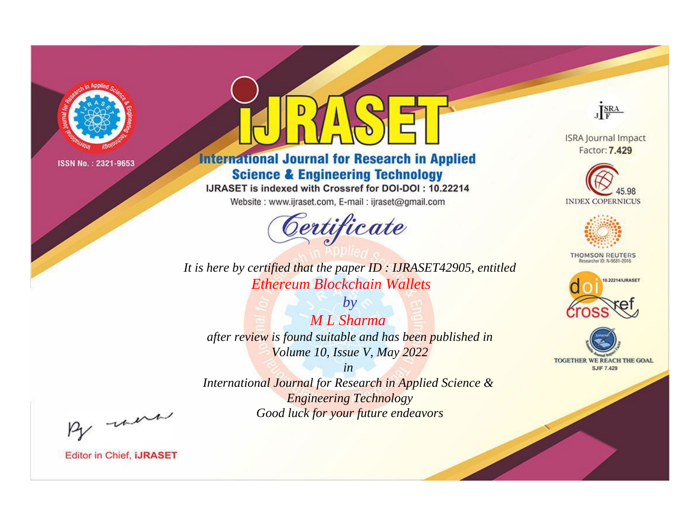

# **International Journal for Research in Applied Science & Engineering Technology**

IJRASET is indexed with Crossref for DOI-DOI: 10.22214

Website: www.ijraset.com, E-mail: ijraset@gmail.com



**ISRA Journal Impact** Factor: 7.429

JERA





**THOMSON REUTERS** 



TOGETHER WE REACH THE GOAL **SJIF 7.429** 

*It is here by certified that the paper ID : IJRASET42905, entitled Ethereum Blockchain Wallets*

*by M L Sharma after review is found suitable and has been published in Volume 10, Issue V, May 2022*

*in* 

*International Journal for Research in Applied Science & Engineering Technology Good luck for your future endeavors*

By morn